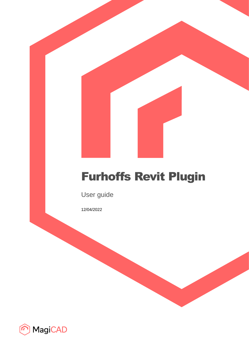# Furhoffs Revit Plugin

User guide

12/04/2022

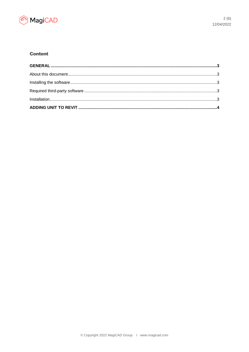

# **Content**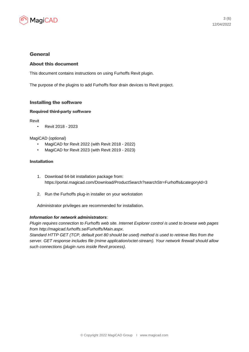

## General

## About this document

This document contains instructions on using Furhoffs Revit plugin.

The purpose of the plugins to add Furhoffs floor drain devices to Revit project.

#### Installing the software

#### Required third-party software

Revit

• Revit 2018 - 2023

#### MagiCAD (optional)

- MagiCAD for Revit 2022 (with Revit 2018 2022)
- MagiCAD for Revit 2023 (with Revit 2019 2023)

#### Installation

- 1. Download 64-bit installation package from: https://portal.magicad.com/Download/ProductSearch?searchStr=Furhoffs&categoryId=3
- 2. Run the Furhoffs plug-in installer on your workstation

Administrator privileges are recommended for installation.

### *Information for network administrators*:

*Plugin requires connection to Furhoffs web site. Internet Explorer control is used to browse web pages from http://magicad.furhoffs.se/Furhoffs/Main.aspx.*

*Standard HTTP GET (TCP, default port 80 should be used) method is used to retrieve files from the server. GET response includes file (mime application/octet-stream). Your network firewall should allow such connections (plugin runs inside Revit process).*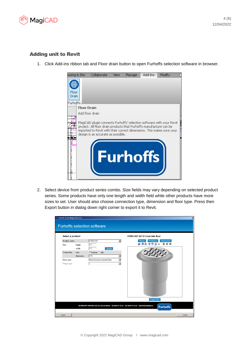

# Adding unit to Revit

1. Click Add-ins ribbon tab and Floor drain button to open Furhoffs selection software in browser.



2. Select device from product series combo. Size fields may vary depending on selected product series. Some products have only one length and width field while other products have more sizes to set. User should also choose connection type, dimension and floor type. Press then Export button in dialog down right corner to export it to Revit.

| Select a product              |                            |                                         | FURO-007-B110 Concrete floor                                                                      |
|-------------------------------|----------------------------|-----------------------------------------|---------------------------------------------------------------------------------------------------|
| Product series<br><b>Size</b> | length                     | <b>FURO 007</b><br>150                  | $\vert \textbf{v} \vert$<br><b>Dimensions</b><br>Render<br>Wireframe<br>电电电<br>価<br>A<br>61<br>۰ı |
| Connection                    | width<br>type<br>dimension | 150<br>Update<br>C bottom C side<br>110 | ▼                                                                                                 |
| Floor type<br>Flange type     |                            | Steel-brushed concrete floor            | $\overline{\phantom{a}}$<br>$\overline{\mathbf{v}}$                                               |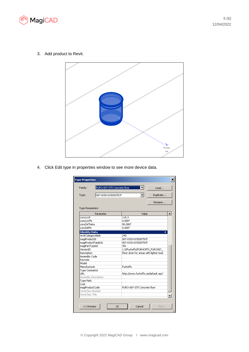

3. Add product to Revit.



4. Click Edit type in properties window to see more device data.

| Family:                |                     | FURO-007-S75 Concrete floor             | Load      |
|------------------------|---------------------|-----------------------------------------|-----------|
| Type:                  | 007-0150-01505075CF |                                         | Duplicate |
|                        |                     |                                         | Rename    |
| <b>Type Parameters</b> |                     |                                         |           |
|                        | Parameter           | Value                                   |           |
| concLocR               |                     | 118.3                                   |           |
| concLocPhi             |                     | $0.000$ °                               |           |
| concDirTheta           |                     | 90.000°                                 |           |
| concDirPhi             |                     | $0.000^\circ$                           |           |
| <b>Identity Data</b>   |                     |                                         | ⋩         |
| revitCategoryNmb       |                     | 240                                     |           |
| magiProductId          |                     | 007-0150-0150S075CF                     |           |
| magiProductFamilyId    |                     | 007-0150-01505075CF                     |           |
| magiPartTypeId         |                     | 351                                     |           |
| VersionID              |                     | 1.0/Furhoffs/FURHOFFS_FURO007           |           |
| Description            |                     | Floor drain for areas with lighter load |           |
| Assembly Code          |                     |                                         |           |
| Keynote                |                     |                                         |           |
| Model                  |                     |                                         |           |
| Manufacturer           |                     | Furhoffs                                |           |
| <b>Type Comments</b>   |                     |                                         |           |
| LIRL                   |                     | http://www.furhoffs.se/default.asp?     |           |
| Assembly Description   |                     |                                         |           |
| Type Mark              |                     |                                         |           |
| Cost                   |                     |                                         |           |
| magiProductCode        |                     | FURO-007-575 Concrete floor             |           |
| OmniClass Number       |                     |                                         |           |
| OmniClass Title        |                     |                                         |           |
|                        |                     |                                         |           |